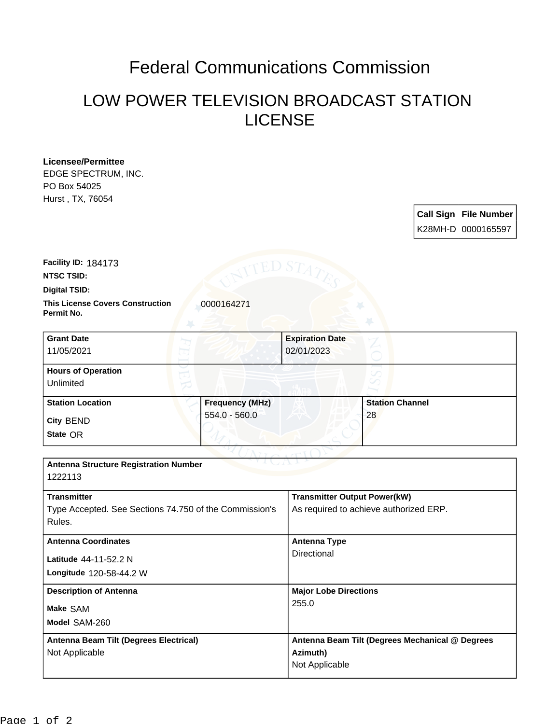## Federal Communications Commission

## LOW POWER TELEVISION BROADCAST STATION LICENSE

**Licensee/Permittee** EDGE SPECTRUM, INC. PO Box 54025 Hurst , TX, 76054

> **Call Sign File Number** K28MH-D 0000165597

**NTSC TSID: Facility ID:** 184173

**Digital TSID:**

**Permit No.**

**This License Covers Construction**  0000164271

| <b>Grant Date</b><br>11/05/2021        |                        | <b>Expiration Date</b><br>02/01/2023 |                        |  |
|----------------------------------------|------------------------|--------------------------------------|------------------------|--|
| <b>Hours of Operation</b><br>Unlimited |                        |                                      | ℺                      |  |
| <b>Station Location</b>                | <b>Frequency (MHz)</b> |                                      | <b>Station Channel</b> |  |
| <b>City BEND</b><br>State OR           | $554.0 - 560.0$        |                                      | 28                     |  |

| <b>Antenna Structure Registration Number</b><br>1222113                      |                                                                               |  |
|------------------------------------------------------------------------------|-------------------------------------------------------------------------------|--|
| <b>Transmitter</b><br>Type Accepted. See Sections 74.750 of the Commission's | <b>Transmitter Output Power(kW)</b><br>As required to achieve authorized ERP. |  |
| Rules.                                                                       |                                                                               |  |
| <b>Antenna Coordinates</b>                                                   | <b>Antenna Type</b><br>Directional                                            |  |
| Latitude 44-11-52.2 N                                                        |                                                                               |  |
| Longitude 120-58-44.2 W                                                      |                                                                               |  |
| <b>Description of Antenna</b>                                                | <b>Major Lobe Directions</b>                                                  |  |
| Make SAM                                                                     | 255.0                                                                         |  |
| Model SAM-260                                                                |                                                                               |  |
| Antenna Beam Tilt (Degrees Electrical)                                       | Antenna Beam Tilt (Degrees Mechanical @ Degrees                               |  |
| Not Applicable                                                               | Azimuth)<br>Not Applicable                                                    |  |
|                                                                              |                                                                               |  |